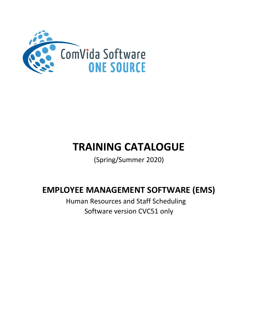

# **TRAINING CATALOGUE**

(Spring/Summer 2020)

## **EMPLOYEE MANAGEMENT SOFTWARE (EMS)**

 Human Resources and Staff Scheduling Software version CVC51 only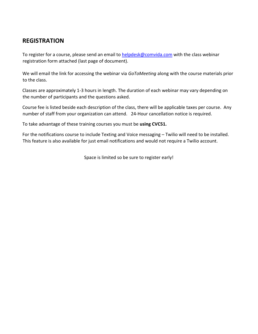## **REGISTRATION**

To register for a course, please send an email to helpdesk@comvida.com with the class webinar registration form attached (last page of document).

We will email the link for accessing the webinar via *GoToMeeting* along with the course materials prior to the class.

Classes are approximately 1-3 hours in length. The duration of each webinar may vary depending on the number of participants and the questions asked.

Course fee is listed beside each description of the class, there will be applicable taxes per course. Any number of staff from your organization can attend. 24-Hour cancellation notice is required.

To take advantage of these training courses you must be **using CVC51.**

For the notifications course to include Texting and Voice messaging – Twilio will need to be installed. This feature is also available for just email notifications and would not require a Twilio account.

Space is limited so be sure to register early!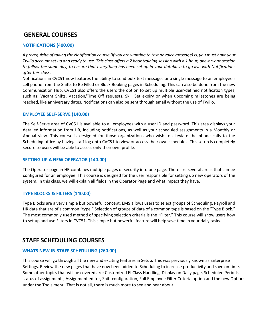## **GENERAL COURSES**

#### **NOTIFICATIONS (400.00)**

*A prerequisite of taking the Notification course (if you are wanting to text or voice message) is, you must have your Twilio account set up and ready to use. This class offers a 2 hour training session with a 1 hour, one-on-one session to follow the same day, to ensure that everything has been set up in your database to go live with Notifications after this class.*

Notifications in CVC51 now features the ability to send bulk text messages or a single message to an employee's cell phone from the Shifts to Be Filled or Block Booking pages in Scheduling. This can also be done from the new Communication Hub. CVC51 also offers the users the option to set up multiple user-defined notification types, such as: Vacant Shifts, Vacation/Time Off requests, Skill Set expiry or when upcoming milestones are being reached, like anniversary dates. Notifications can also be sent through email without the use of Twilio.

#### **EMPLOYEE SELF-SERVE (140.00)**

The Self-Serve area of CVC51 is available to all employees with a user ID and password. This area displays your detailed information from HR, including notifications, as well as your scheduled assignments in a Monthly or Annual view. This course is designed for those organizations who wish to alleviate the phone calls to the Scheduling office by having staff log onto CVC51 to view or access their own schedules. This setup is completely secure so users will be able to access only their own profile.

#### **SETTING UP A NEW OPERATOR (140.00)**

The Operator page in HR combines multiple pages of security into one page. There are several areas that can be configured for an employee. This course is designed for the user responsible for setting up new operators of the system. In this class, we will explain all fields in the Operator Page and what impact they have.

#### **TYPE BLOCKS & FILTERS (140.00)**

Type Blocks are a very simple but powerful concept. EMS allows users to select groups of Scheduling, Payroll and HR data that are of a common "type." Selection of groups of data of a common type is based on the "Type Block." The most commonly used method of specifying selection criteria is the "Filter." This course will show users how to set up and use Filters in CVC51. This simple but powerful feature will help save time in your daily tasks.

## **STAFF SCHEDULING COURSES**

#### **WHATS NEW IN STAFF SCHEDULING (260.00)**

This course will go through all the new and exciting features in Setup. This was previously known as Enterprise Settings. Review the new pages that have now been added to Scheduling to increase productivity and save on time. Some other topics that will be covered are: Customized EI Class Handling, Display on Daily page, Scheduled Periods, status of assignments, Assignment editor, Shift configuration, Full Employee Filter Criteria option and the new Options under the Tools menu. That is not all, there is much more to see and hear about!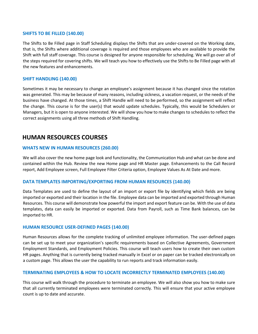#### **SHIFTS TO BE FILLED (140.00)**

The Shifts to Be Filled page in Staff Scheduling displays the Shifts that are under-covered on the Working date, that is, the Shifts where additional coverage is required and those employees who are available to provide the Shift with full staff coverage. This course is designed for anyone responsible for scheduling. We will go over all of the steps required for covering shifts. We will teach you how to effectively use the Shifts to Be Filled page with all the new features and enhancements.

#### **SHIFT HANDLING (140.00)**

Sometimes it may be necessary to change an employee's assignment because it has changed since the rotation was generated. This may be because of many reasons, including sickness, a vacation request, or the needs of the business have changed. At those times, a Shift Handle will need to be performed, so the assignment will reflect the change. This course is for the user(s) that would update schedules. Typically, this would be Schedulers or Managers, but it is open to anyone interested. We will show you how to make changes to schedules to reflect the correct assignments using all three methods of Shift Handling.

## **HUMAN RESOURCES COURSES**

#### **WHATS NEW IN HUMAN RESOURCES (260.00)**

We will also cover the new home page look and functionality, the Communication Hub and what can be done and contained within the Hub. Review the new Home page and HR Master page. Enhancements to the Call Record report, Add Employee screen, Full Employee Filter Criteria option, Employee Values As At Date and more.

#### **DATA TEMPLATES IMPORTING/EXPORTING FROM HUMAN RESOURCES (140.00)**

Data Templates are used to define the layout of an import or export file by identifying which fields are being imported or exported and their location in the file. Employee data can be imported and exported through Human Resources. This course will demonstrate how powerful the import and export feature can be. With the use of data templates, data can easily be imported or exported. Data from Payroll, such as Time Bank balances, can be imported to HR.

#### **HUMAN RESOURCE USER-DEFINED PAGES (140.00)**

Human Resources allows for the complete tracking of unlimited employee information. The user-defined pages can be set up to meet your organization's specific requirements based on Collective Agreements, Government Employment Standards, and Employment Policies. This course will teach users how to create their own custom HR pages. Anything that is currently being tracked manually in Excel or on paper can be tracked electronically on a custom page. This allows the user the capability to run reports and track information easily.

#### **TERMINATING EMPLOYEES & HOW TO LOCATE INCORRECTLY TERMINATED EMPLOYEES (140.00)**

This course will walk through the procedure to terminate an employee. We will also show you how to make sure that all currently terminated employees were terminated correctly. This will ensure that your active employee count is up to date and accurate.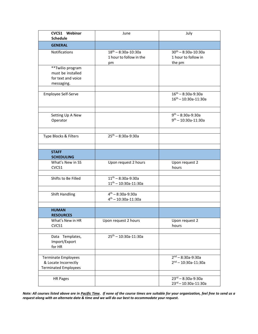| CVC51 Webinar<br><b>Schedule</b>                                                  | June                                                        | July                                                            |
|-----------------------------------------------------------------------------------|-------------------------------------------------------------|-----------------------------------------------------------------|
| <b>GENERAL</b>                                                                    |                                                             |                                                                 |
| Notifications                                                                     | $18^{th} - 8:30a - 10:30a$<br>1 hour to follow in the<br>pm | $30^{th} - 8:30a - 10:30a$<br>1 hour to follow in<br>the pm     |
| **Twilio program<br>must be installed<br>for text and voice<br>messaging.         |                                                             |                                                                 |
| Employee Self-Serve                                                               |                                                             | $16^{th} - 8:30a-9:30a$<br>$16^{th} - 10:30a - 11:30a$          |
| Setting Up A New<br>Operator                                                      |                                                             | $9^{th} - 8:30a - 9:30a$<br>$9^{th} - 10:30a - 11:30a$          |
| Type Blocks & Filters                                                             | $25^{th} - 8:30a - 9:30a$                                   |                                                                 |
| <b>STAFF</b><br><b>SCHEDULING</b>                                                 |                                                             |                                                                 |
| What's New in SS<br>CVC51                                                         | Upon request 2 hours                                        | Upon request 2<br>hours                                         |
| Shifts to Be Filled                                                               | $11th - 8:30a-9:30a$<br>$11^{th} - 10:30a - 11:30a$         |                                                                 |
| <b>Shift Handling</b>                                                             | $4^{th} - 8:30a - 9:30a$<br>$4th - 10:30a-11:30a$           |                                                                 |
| <b>HUMAN</b><br><b>RESOURCES</b>                                                  |                                                             |                                                                 |
| What's New in HR<br>CVC51                                                         | Upon request 2 hours                                        | Upon request 2<br>hours                                         |
| Data Templates,<br>Import/Export<br>for HR                                        | $25^{th} - 10:30a - 11:30a$                                 |                                                                 |
| <b>Terminate Employees</b><br>& Locate Incorrectly<br><b>Terminated Employees</b> |                                                             | $2^{nd} - 8:30a - 9:30a$<br>$2nd - 10:30a-11:30a$               |
| <b>HR Pages</b>                                                                   |                                                             | $23^{rd} - 8:30a - 9:30a$<br>$23^{\text{rd}} - 10:30a - 11:30a$ |

*Note: All courses listed above are in Pacific Time. If none of the course times are suitable for your organization, feel free to send us a request along with an alternate date & time and we will do our best to accommodate your request.*